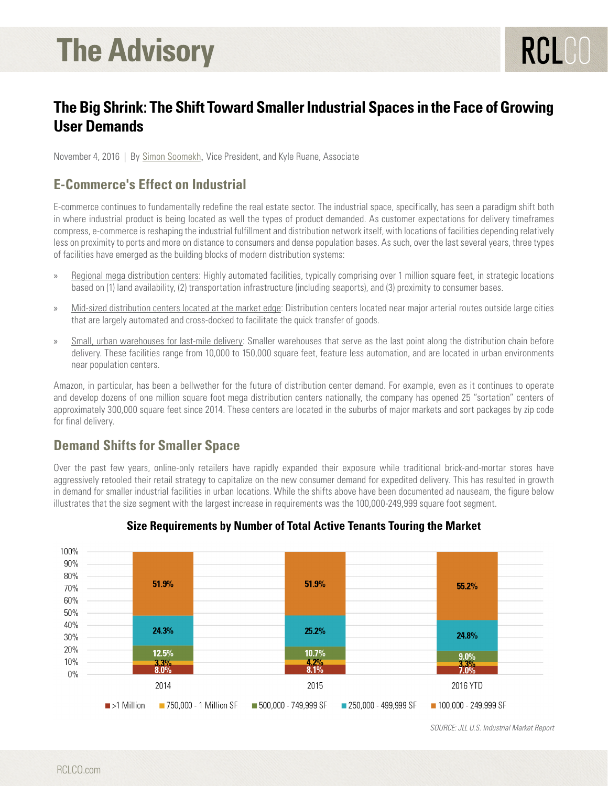# **The Advisory**

## **The Big Shrink: The Shift Toward Smaller Industrial Spaces in the Face of Growing User Demands**

November 4, 2016 | By [Simon Soomekh](https://www.rclco.com/simon-soomekh), Vice President, and Kyle Ruane, Associate

## **E-Commerce's Effect on Industrial**

E-commerce continues to fundamentally redefine the real estate sector. The industrial space, specifically, has seen a paradigm shift both in where industrial product is being located as well the types of product demanded. As customer expectations for delivery timeframes compress, e-commerce is reshaping the industrial fulfillment and distribution network itself, with locations of facilities depending relatively less on proximity to ports and more on distance to consumers and dense population bases. As such, over the last several years, three types of facilities have emerged as the building blocks of modern distribution systems:

- » Regional mega distribution centers: Highly automated facilities, typically comprising over 1 million square feet, in strategic locations based on (1) land availability, (2) transportation infrastructure (including seaports), and (3) proximity to consumer bases.
- » Mid-sized distribution centers located at the market edge: Distribution centers located near major arterial routes outside large cities that are largely automated and cross-docked to facilitate the quick transfer of goods.
- » Small, urban warehouses for last-mile delivery: Smaller warehouses that serve as the last point along the distribution chain before delivery. These facilities range from 10,000 to 150,000 square feet, feature less automation, and are located in urban environments near population centers.

Amazon, in particular, has been a bellwether for the future of distribution center demand. For example, even as it continues to operate and develop dozens of one million square foot mega distribution centers nationally, the company has opened 25 "sortation" centers of approximately 300,000 square feet since 2014. These centers are located in the suburbs of major markets and sort packages by zip code for final delivery.

## **Demand Shifts for Smaller Space**

Over the past few years, online-only retailers have rapidly expanded their exposure while traditional brick-and-mortar stores have aggressively retooled their retail strategy to capitalize on the new consumer demand for expedited delivery. This has resulted in growth in demand for smaller industrial facilities in urban locations. While the shifts above have been documented ad nauseam, the figure below illustrates that the size segment with the largest increase in requirements was the 100,000-249,999 square foot segment.



#### **Size Requirements by Number of Total Active Tenants Touring the Market**

*SOURCE: JLL U.S. Industrial Market Report*

RCLCO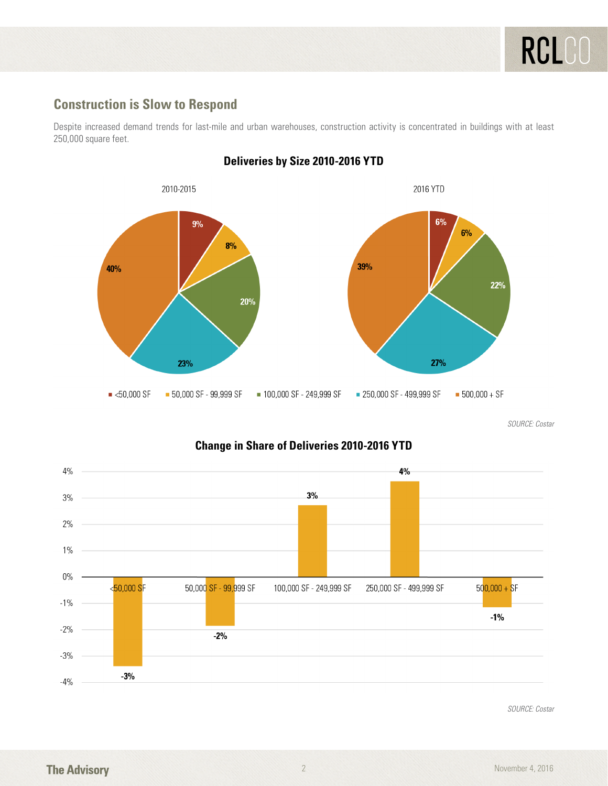### **Construction is Slow to Respond**

Despite increased demand trends for last-mile and urban warehouses, construction activity is concentrated in buildings with at least 250,000 square feet.



#### **Deliveries by Size 2010-2016 YTD**

*SOURCE: Costar*

#### $4%$ 4%  $3%$  $3%$  $2%$  $1\%$  $0\%$ <50,000 SF 50,000 SF - 99,999 SF 100,000 SF - 249,999 SF 250,000 SF - 499,999 SF  $500,000 + SF$  $-1\%$  $-1%$  $-2%$  $-2%$  $-3%$  $-3%$  $-4%$

#### **Change in Share of Deliveries 2010-2016 YTD**

*SOURCE: Costar*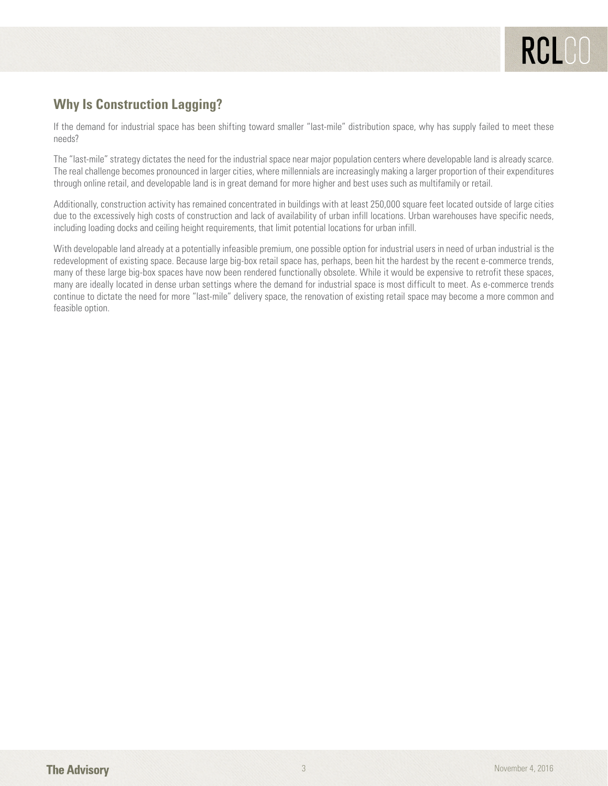## **Why Is Construction Lagging?**

If the demand for industrial space has been shifting toward smaller "last-mile" distribution space, why has supply failed to meet these needs?

The "last-mile" strategy dictates the need for the industrial space near major population centers where developable land is already scarce. The real challenge becomes pronounced in larger cities, where millennials are increasingly making a larger proportion of their expenditures through online retail, and developable land is in great demand for more higher and best uses such as multifamily or retail.

Additionally, construction activity has remained concentrated in buildings with at least 250,000 square feet located outside of large cities due to the excessively high costs of construction and lack of availability of urban infill locations. Urban warehouses have specific needs, including loading docks and ceiling height requirements, that limit potential locations for urban infill.

With developable land already at a potentially infeasible premium, one possible option for industrial users in need of urban industrial is the redevelopment of existing space. Because large big-box retail space has, perhaps, been hit the hardest by the recent e-commerce trends, many of these large big-box spaces have now been rendered functionally obsolete. While it would be expensive to retrofit these spaces, many are ideally located in dense urban settings where the demand for industrial space is most difficult to meet. As e-commerce trends continue to dictate the need for more "last-mile" delivery space, the renovation of existing retail space may become a more common and feasible option.